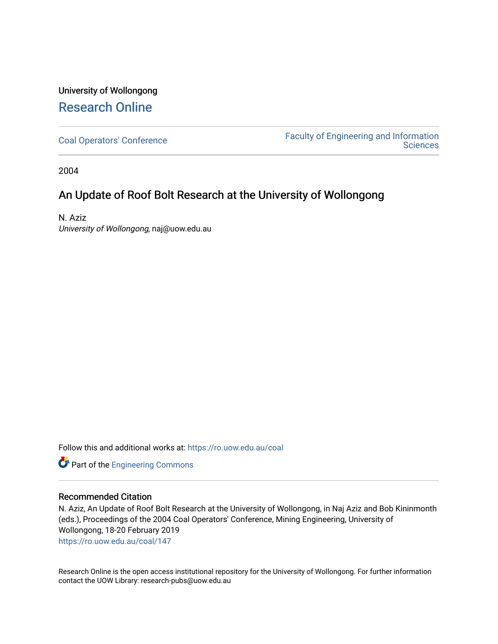## University of Wollongong [Research Online](https://ro.uow.edu.au/)

[Coal Operators' Conference](https://ro.uow.edu.au/coal) [Faculty of Engineering and Information](https://ro.uow.edu.au/eis)  **Sciences** 

2004

## An Update of Roof Bolt Research at the University of Wollongong

N. Aziz University of Wollongong, naj@uow.edu.au

Follow this and additional works at: [https://ro.uow.edu.au/coal](https://ro.uow.edu.au/coal?utm_source=ro.uow.edu.au%2Fcoal%2F147&utm_medium=PDF&utm_campaign=PDFCoverPages) 

Part of the [Engineering Commons](http://network.bepress.com/hgg/discipline/217?utm_source=ro.uow.edu.au%2Fcoal%2F147&utm_medium=PDF&utm_campaign=PDFCoverPages)

### Recommended Citation

N. Aziz, An Update of Roof Bolt Research at the University of Wollongong, in Naj Aziz and Bob Kininmonth (eds.), Proceedings of the 2004 Coal Operators' Conference, Mining Engineering, University of Wollongong, 18-20 February 2019

[https://ro.uow.edu.au/coal/147](https://ro.uow.edu.au/coal/147?utm_source=ro.uow.edu.au%2Fcoal%2F147&utm_medium=PDF&utm_campaign=PDFCoverPages) 

Research Online is the open access institutional repository for the University of Wollongong. For further information contact the UOW Library: research-pubs@uow.edu.au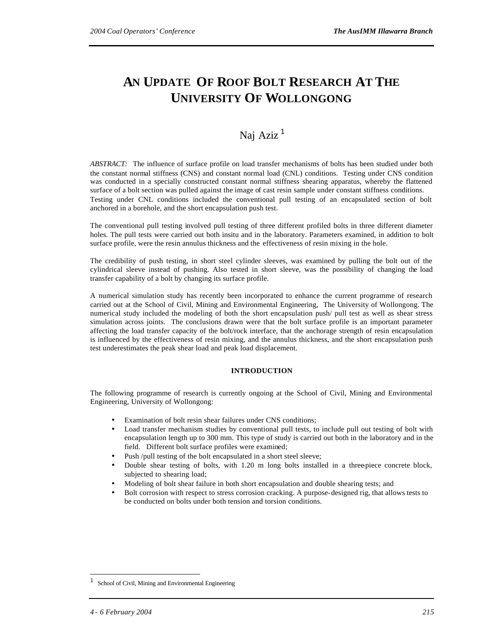# **AN UPDATE OF ROOF BOLT RESEARCH AT THE UNIVERSITY OF WOLLONGONG**

### Naj Aziz<sup>1</sup>

*ABSTRACT:* The influence of surface profile on load transfer mechanisms of bolts has been studied under both the constant normal stiffness (CNS) and constant normal load (CNL) conditions. Testing under CNS condition was conducted in a specially constructed constant normal stiffness shearing apparatus, whereby the flattened surface of a bolt section was pulled against the image of cast resin sample under constant stiffness conditions. Testing under CNL conditions included the conventional pull testing of an encapsulated section of bolt anchored in a borehole, and the short encapsulation push test.

The conventional pull testing involved pull testing of three different profiled bolts in three different diameter holes. The pull tests were carried out both insitu and in the laboratory. Parameters examined, in addition to bolt surface profile, were the resin annulus thickness and the effectiveness of resin mixing in the hole.

The credibility of push testing, in short steel cylinder sleeves, was examined by pulling the bolt out of the cylindrical sleeve instead of pushing. Also tested in short sleeve, was the possibility of changing the load transfer capability of a bolt by changing its surface profile.

A numerical simulation study has recently been incorporated to enhance the current programme of research carried out at the School of Civil, Mining and Environmental Engineering, The University of Wollongong. The numerical study included the modeling of both the short encapsulation push/ pull test as well as shear stress simulation across joints. The conclusions drawn were that the bolt surface profile is an important parameter affecting the load transfer capacity of the bolt/rock interface, that the anchorage strength of resin encapsulation is influenced by the effectiveness of resin mixing, and the annulus thickness, and the short encapsulation push test underestimates the peak shear load and peak load displacement.

#### **INTRODUCTION**

The following programme of research is currently ongoing at the School of Civil, Mining and Environmental Engineering, University of Wollongong:

- Examination of bolt resin shear failures under CNS conditions;
- Load transfer mechanism studies by conventional pull tests, to include pull out testing of bolt with encapsulation length up to 300 mm. This type of study is carried out both in the laboratory and in the field. Different bolt surface profiles were examined;
- Push /pull testing of the bolt encapsulated in a short steel sleeve;
- Double shear testing of bolts, with 1.20 m long bolts installed in a three-piece concrete block, subjected to shearing load;
- Modeling of bolt shear failure in both short encapsulation and double shearing tests; and
- Bolt corrosion with respect to stress corrosion cracking. A purpose-designed rig, that allows tests to be conducted on bolts under both tension and torsion conditions.

l

<sup>1</sup> School of Civil, Mining and Environmental Engineering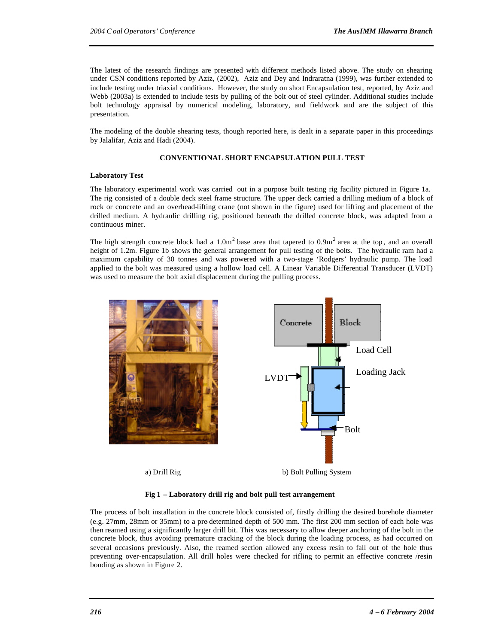The latest of the research findings are presented with different methods listed above. The study on shearing under CSN conditions reported by Aziz, (2002), Aziz and Dey and Indraratna (1999), was further extended to include testing under triaxial conditions. However, the study on short Encapsulation test, reported, by Aziz and Webb (2003a) is extended to include tests by pulling of the bolt out of steel cylinder. Additional studies include bolt technology appraisal by numerical modeling, laboratory, and fieldwork and are the subject of this presentation.

The modeling of the double shearing tests, though reported here, is dealt in a separate paper in this proceedings by Jalalifar, Aziz and Hadi (2004).

#### **CONVENTIONAL SHORT ENCAPSULATION PULL TEST**

#### **Laboratory Test**

The laboratory experimental work was carried out in a purpose built testing rig facility pictured in Figure 1a. The rig consisted of a double deck steel frame structure. The upper deck carried a drilling medium of a block of rock or concrete and an overhead-lifting crane (not shown in the figure) used for lifting and placement of the drilled medium. A hydraulic drilling rig, positioned beneath the drilled concrete block, was adapted from a continuous miner.

The high strength concrete block had a  $1.0\text{m}^2$  base area that tapered to  $0.9\text{m}^2$  area at the top, and an overall height of 1.2m. Figure 1b shows the general arrangement for pull testing of the bolts. The hydraulic ram had a maximum capability of 30 tonnes and was powered with a two-stage 'Rodgers' hydraulic pump. The load applied to the bolt was measured using a hollow load cell. A Linear Variable Differential Transducer (LVDT) was used to measure the bolt axial displacement during the pulling process.



#### **Fig 1 – Laboratory drill rig and bolt pull test arrangement**

The process of bolt installation in the concrete block consisted of, firstly drilling the desired borehole diameter (e.g. 27mm, 28mm or 35mm) to a pre-determined depth of 500 mm. The first 200 mm section of each hole was then reamed using a significantly larger drill bit. This was necessary to allow deeper anchoring of the bolt in the concrete block, thus avoiding premature cracking of the block during the loading process, as had occurred on several occasions previously. Also, the reamed section allowed any excess resin to fall out of the hole thus preventing over-encapsulation. All drill holes were checked for rifling to permit an effective concrete /resin bonding as shown in Figure 2.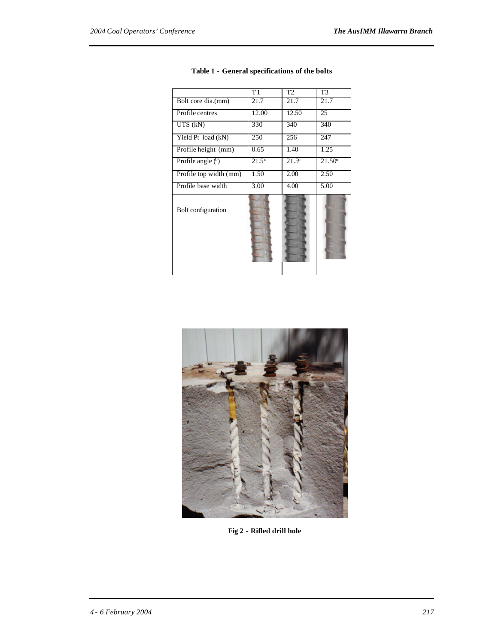|                        | $\overline{T1}$ | T <sub>2</sub> | T <sub>3</sub>     |
|------------------------|-----------------|----------------|--------------------|
| Bolt core dia.(mm)     | 21.7            | 21.7           | 21.7               |
| Profile centres        | 12.00           | 12.50          | 25                 |
| $UTS$ (kN)             | 330             | 340            | 340                |
| Yield Pt load (kN)     | 250             | 256            | 247                |
| Profile height (mm)    | 0.65            | 1.40           | 1.25               |
| Profile angle $(0)$    | $21.5^{\circ}$  | $21.5^{\circ}$ | 21.50 <sup>o</sup> |
| Profile top width (mm) | 1.50            | 2.00           | 2.50               |
| Profile base width     | 3.00            | 4.00           | 5.00               |
| Bolt configuration     |                 |                |                    |

#### **Table 1 - General specifications of the bolts**



**Fig 2 - Rifled drill hole**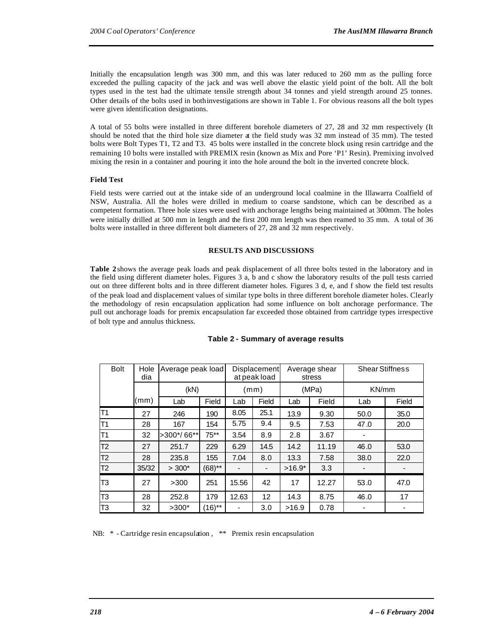Initially the encapsulation length was 300 mm, and this was later reduced to 260 mm as the pulling force exceeded the pulling capacity of the jack and was well above the elastic yield point of the bolt. All the bolt types used in the test had the ultimate tensile strength about 34 tonnes and yield strength around 25 tonnes. Other details of the bolts used in bothinvestigations are shown in Table 1. For obvious reasons all the bolt types were given identification designations.

A total of 55 bolts were installed in three different borehole diameters of 27, 28 and 32 mm respectively (It should be noted that the third hole size diameter at the field study was 32 mm instead of 35 mm). The tested bolts were Bolt Types T1, T2 and T3. 45 bolts were installed in the concrete block using resin cartridge and the remaining 10 bolts were installed with PREMIX resin (known as Mix and Pore 'P1' Resin). Premixing involved mixing the resin in a container and pouring it into the hole around the bolt in the inverted concrete block.

#### **Field Test**

Field tests were carried out at the intake side of an underground local coalmine in the Illawarra Coalfield of NSW, Australia. All the holes were drilled in medium to coarse sandstone, which can be described as a competent formation. Three hole sizes were used with anchorage lengths being maintained at 300mm. The holes were initially drilled at 500 mm in length and the first 200 mm length was then reamed to 35 mm. A total of 36 bolts were installed in three different bolt diameters of 27, 28 and 32 mm respectively.

#### **RESULTS AND DISCUSSIONS**

**Table 2** shows the average peak loads and peak displacement of all three bolts tested in the laboratory and in the field using different diameter holes. Figures 3 a, b and c show the laboratory results of the pull tests carried out on three different bolts and in three different diameter holes. Figures 3 d, e, and f show the field test results of the peak load and displacement values of similar type bolts in three different borehole diameter holes. Clearly the methodology of resin encapsulation application had some influence on bolt anchorage performance. The pull out anchorage loads for premix encapsulation far exceeded those obtained from cartridge types irrespective of bolt type and annulus thickness.

| <b>Bolt</b>    | Hole<br>dia |              | Average peak load |                              | Displacement<br>at peak load |          | Average shear<br>stress | <b>Shear Stiffness</b> |       |
|----------------|-------------|--------------|-------------------|------------------------------|------------------------------|----------|-------------------------|------------------------|-------|
|                |             | (kN)         |                   | (mm)                         |                              | (MPa)    |                         | KN/mm                  |       |
|                | (mm)        | Lab          | Field             | Lab                          | Field                        | Lab      | Field                   | Lab                    | Field |
| T1             | 27          | 246          | 190               | 8.05                         | 25.1                         | 13.9     | 9.30                    | 50.0                   | 35.0  |
| T1             | 28          | 167          | 154               | 5.75                         | 9.4                          | 9.5      | 7.53                    | 47.0                   | 20.0  |
| T1             | 32          | $>300*/66**$ | $75**$            | 3.54                         | 8.9                          | 2.8      | 3.67                    |                        |       |
| T <sub>2</sub> | 27          | 251.7        | 229               | 6.29                         | 14.5                         | 14.2     | 11.19                   | 46.0                   | 53.0  |
| T <sub>2</sub> | 28          | 235.8        | 155               | 7.04                         | 8.0                          | 13.3     | 7.58                    | 38.0                   | 22.0  |
| T <sub>2</sub> | 35/32       | $> 300*$     | $(68)$ **         | $\qquad \qquad \blacksquare$ |                              | $>16.9*$ | 3.3                     |                        |       |
| T3             | 27          | >300         | 251               | 15.56                        | 42                           | 17       | 12.27                   | 53.0                   | 47.0  |
| T3             | 28          | 252.8        | 179               | 12.63                        | 12                           | 14.3     | 8.75                    | 46.0                   | 17    |
| T3             | 32          | $>300*$      | $(16)$ **         | -                            | 3.0                          | >16.9    | 0.78                    |                        |       |

#### **Table 2 - Summary of average results**

NB: \* - Cartridge resin encapsulation, \*\* Premix resin encapsulation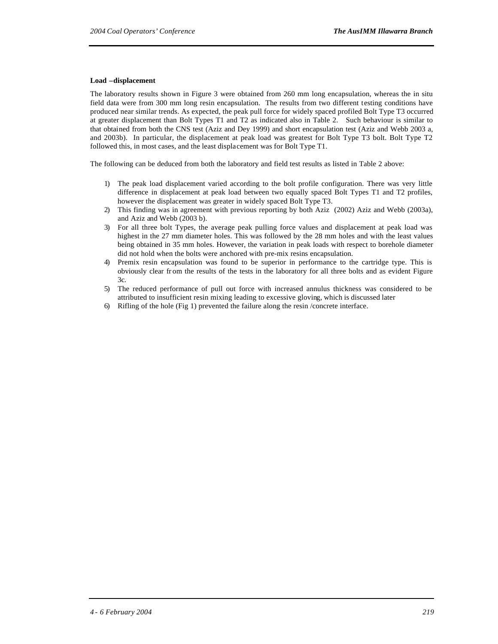#### **Load –displacement**

The laboratory results shown in Figure 3 were obtained from 260 mm long encapsulation, whereas the in situ field data were from 300 mm long resin encapsulation. The results from two different testing conditions have produced near similar trends. As expected, the peak pull force for widely spaced profiled Bolt Type T3 occurred at greater displacement than Bolt Types T1 and T2 as indicated also in Table 2. Such behaviour is similar to that obtained from both the CNS test (Aziz and Dey 1999) and short encapsulation test (Aziz and Webb 2003 a, and 2003b). In particular, the displacement at peak load was greatest for Bolt Type T3 bolt. Bolt Type T2 followed this, in most cases, and the least displacement was for Bolt Type T1.

The following can be deduced from both the laboratory and field test results as listed in Table 2 above:

- 1) The peak load displacement varied according to the bolt profile configuration. There was very little difference in displacement at peak load between two equally spaced Bolt Types T1 and T2 profiles, however the displacement was greater in widely spaced Bolt Type T3.
- 2) This finding was in agreement with previous reporting by both Aziz (2002) Aziz and Webb (2003a), and Aziz and Webb (2003 b).
- 3) For all three bolt Types, the average peak pulling force values and displacement at peak load was highest in the 27 mm diameter holes. This was followed by the 28 mm holes and with the least values being obtained in 35 mm holes. However, the variation in peak loads with respect to borehole diameter did not hold when the bolts were anchored with pre-mix resins encapsulation.
- 4) Premix resin encapsulation was found to be superior in performance to the cartridge type. This is obviously clear fr om the results of the tests in the laboratory for all three bolts and as evident Figure  $3c$ .
- 5) The reduced performance of pull out force with increased annulus thickness was considered to be attributed to insufficient resin mixing leading to excessive gloving, which is discussed later
- 6) Rifling of the hole (Fig 1) prevented the failure along the resin /concrete interface.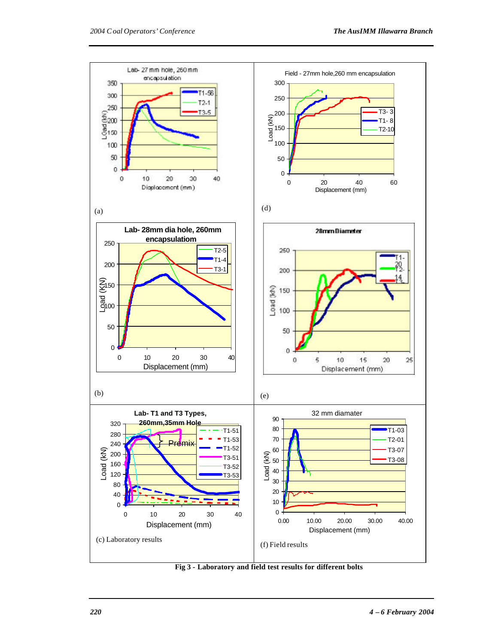

**Fig 3 - Laboratory and field test results for different bolts**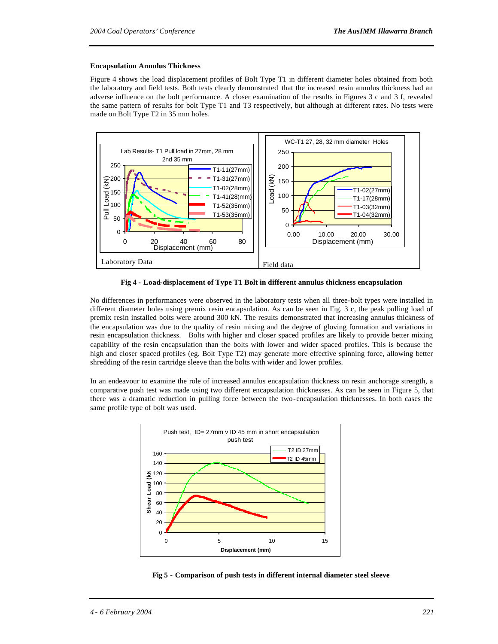#### **Encapsulation Annulus Thickness**

Figure 4 shows the load displacement profiles of Bolt Type T1 in different diameter holes obtained from both the laboratory and field tests. Both tests clearly demonstrated that the increased resin annulus thickness had an adverse influence on the bolt performance. A closer examination of the results in Figures 3 c and 3 f, revealed the same pattern of results for bolt Type T1 and T3 respectively, but although at different rates. No tests were made on Bolt Type T2 in 35 mm holes.



**Fig 4 - Load-displacement of Type T1 Bolt in different annulus thickness encapsulation**

No differences in performances were observed in the laboratory tests when all three-bolt types were installed in different diameter holes using premix resin encapsulation. As can be seen in Fig. 3 c, the peak pulling load of premix resin installed bolts were around 300 kN. The results demonstrated that increasing annulus thickness of the encapsulation was due to the quality of resin mixing and the degree of gloving formation and variations in resin encapsulation thickness. Bolts with higher and closer spaced profiles are likely to provide better mixing capability of the resin encapsulation than the bolts with lower and wider spaced profiles. This is because the high and closer spaced profiles (eg. Bolt Type T2) may generate more effective spinning force, allowing better shredding of the resin cartridge sleeve than the bolts with wider and lower profiles.

In an endeavour to examine the role of increased annulus encapsulation thickness on resin anchorage strength, a comparative push test was made using two different encapsulation thicknesses. As can be seen in Figure 5, that there was a dramatic reduction in pulling force between the two-encapsulation thicknesses. In both cases the same profile type of bolt was used.



**Fig 5 - Comparison of push tests in different internal diameter steel sleeve**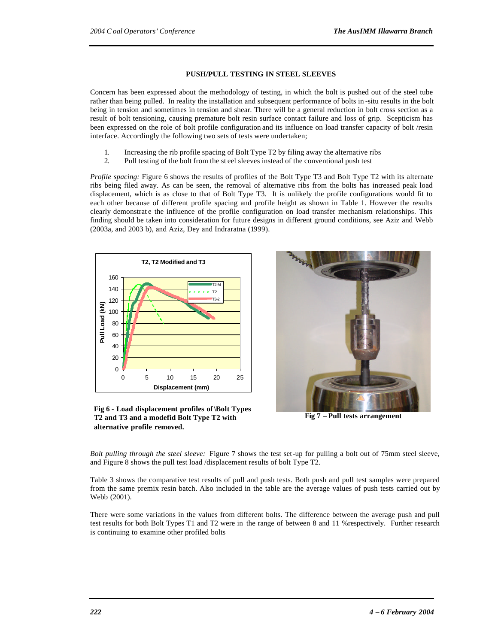#### **PUSH/PULL TESTING IN STEEL SLEEVES**

Concern has been expressed about the methodology of testing, in which the bolt is pushed out of the steel tube rather than being pulled. In reality the installation and subsequent performance of bolts in -situ results in the bolt being in tension and sometimes in tension and shear. There will be a general reduction in bolt cross section as a result of bolt tensioning, causing premature bolt resin surface contact failure and loss of grip. Scepticism has been expressed on the role of bolt profile configuration and its influence on load transfer capacity of bolt /resin interface. Accordingly the following two sets of tests were undertaken;

- 1. Increasing the rib profile spacing of Bolt Type T2 by filing away the alternative ribs
- 2. Pull testing of the bolt from the st eel sleeves instead of the conventional push test

*Profile spacing:* Figure 6 shows the results of profiles of the Bolt Type T3 and Bolt Type T2 with its alternate ribs being filed away. As can be seen, the removal of alternative ribs from the bolts has increased peak load displacement, which is as close to that of Bolt Type T3. It is unlikely the profile configurations would fit to each other because of different profile spacing and profile height as shown in Table 1. However the results clearly demonstrat e the influence of the profile configuration on load transfer mechanism relationships. This finding should be taken into consideration for future designs in different ground conditions, see Aziz and Webb (2003a, and 2003 b), and Aziz, Dey and Indraratna (1999).



**Fig 6 - Load displacement profiles of \Bolt Types T2 and T3 and a modefid Bolt Type T2 with alternative profile removed.**



**Fig 7 – Pull tests arrangement**

*Bolt pulling through the steel sleeve:* Figure 7 shows the test set-up for pulling a bolt out of 75mm steel sleeve, and Figure 8 shows the pull test load /displacement results of bolt Type T2.

Table 3 shows the comparative test results of pull and push tests. Both push and pull test samples were prepared from the same premix resin batch. Also included in the table are the average values of push tests carried out by Webb (2001).

There were some variations in the values from different bolts. The difference between the average push and pull test results for both Bolt Types T1 and T2 were in the range of between 8 and 11 %respectively. Further research is continuing to examine other profiled bolts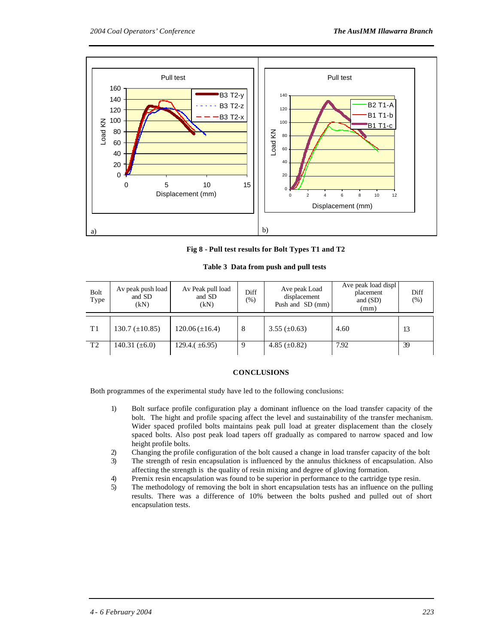

**Fig 8 - Pull test results for Bolt Types T1 and T2**

**Table 3 Data from push and pull tests**

| Bolt<br>Type   | Av peak push load<br>and SD<br>(kN) | Av Peak pull load<br>and SD<br>(kN) | Diff<br>$(\%)$ | Ave peak Load<br>displacement<br>Push and SD (mm) | Ave peak load displ<br>placement<br>and $(SD)$<br>(mm) | Diff<br>$(\%)$ |
|----------------|-------------------------------------|-------------------------------------|----------------|---------------------------------------------------|--------------------------------------------------------|----------------|
| T1             | 130.7 $(\pm 10.85)$                 | $120.06 (\pm 16.4)$                 | 8              | $3.55 \ (\pm 0.63)$                               | 4.60                                                   | 13             |
| T <sub>2</sub> | 140.31 $(\pm 6.0)$                  | 129.4. $(\pm 6.95)$                 | 9              | 4.85 $(\pm 0.82)$                                 | 7.92                                                   | 39             |

#### **CONCLUSIONS**

Both programmes of the experimental study have led to the following conclusions:

- 1) Bolt surface profile configuration play a dominant influence on the load transfer capacity of the bolt. The hight and profile spacing affect the level and sustainability of the transfer mechanism. Wider spaced profiled bolts maintains peak pull load at greater displacement than the closely spaced bolts. Also post peak load tapers off gradually as compared to narrow spaced and low height profile bolts.
- 2) Changing the profile configuration of the bolt caused a change in load transfer capacity of the bolt
- 3) The strength of resin encapsulation is influenced by the annulus thickness of encapsulation. Also affecting the strength is the quality of resin mixing and degree of gloving formation.
- 4) Premix resin encapsulation was found to be superior in performance to the cartridge type resin.
- 5) The methodology of removing the bolt in short encapsulation tests has an influence on the pulling results. There was a difference of 10% between the bolts pushed and pulled out of short encapsulation tests.